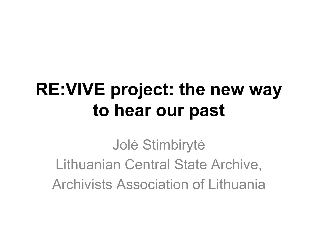Jolė Stimbirytė Lithuanian Central State Archive, Archivists Association of Lithuania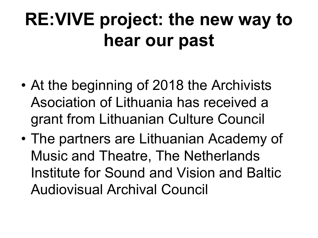- At the beginning of 2018 the Archivists Asociation of Lithuania has received a grant from Lithuanian Culture Council
- The partners are Lithuanian Academy of Music and Theatre, The Netherlands Institute for Sound and Vision and Baltic Audiovisual Archival Council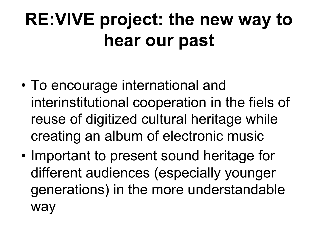- To encourage international and interinstitutional cooperation in the fiels of reuse of digitized cultural heritage while creating an album of electronic music
- Important to present sound heritage for different audiences (especially younger generations) in the more understandable way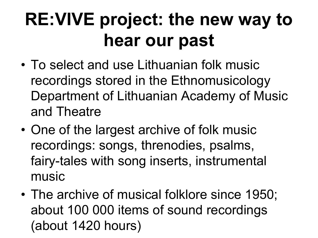- To select and use Lithuanian folk music recordings stored in the Ethnomusicology Department of Lithuanian Academy of Music and Theatre
- One of the largest archive of folk music recordings: songs, threnodies, psalms, fairy-tales with song inserts, instrumental music
- The archive of musical folklore since 1950; about 100 000 items of sound recordings (about 1420 hours)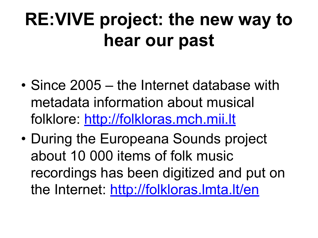- Since 2005 the Internet database with metadata information about musical folklore: [http://folkloras.mch.mii.lt](http://folkloras.mch.mii.lt/)
- During the Europeana Sounds project about 10 000 items of folk music recordings has been digitized and put on the Internet:<http://folkloras.lmta.lt/en>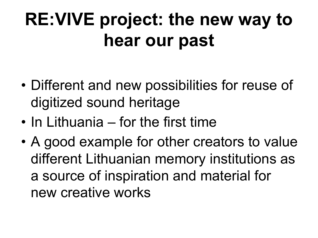- Different and new possibilities for reuse of digitized sound heritage
- In Lithuania for the first time
- A good example for other creators to value different Lithuanian memory institutions as a source of inspiration and material for new creative works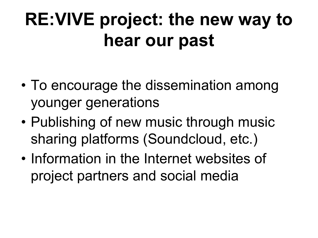- To encourage the dissemination among younger generations
- Publishing of new music through music sharing platforms (Soundcloud, etc.)
- Information in the Internet websites of project partners and social media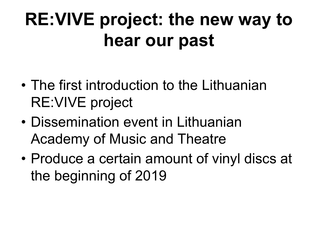- The first introduction to the Lithuanian RE:VIVE project
- Dissemination event in Lithuanian Academy of Music and Theatre
- Produce a certain amount of vinyl discs at the beginning of 2019